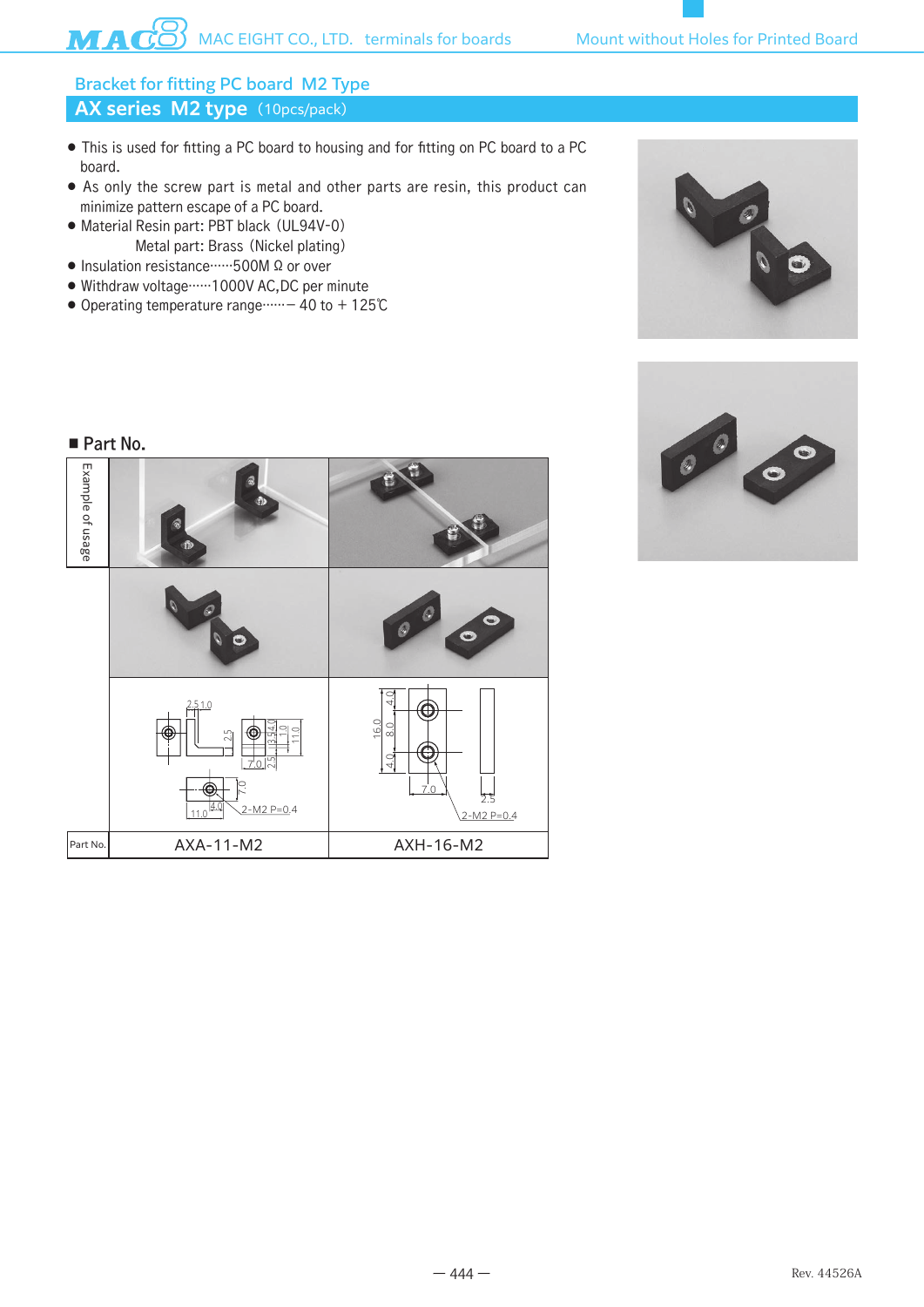# AX series M2 type (10pcs/pack) Bracket for fitting PC board M2 Type

- This is used for fitting a PC board to housing and for fitting on PC board to a PC board.
- As only the screw part is metal and other parts are resin, this product can minimize pattern escape of a PC board.
- Material Resin part: PBT black (UL94V-0) Metal part: Brass (Nickel plating)
- Insulation resistance……500M Ω or over
- Withdraw voltage……1000V AC,DC per minute
- Operating temperature range……− 40 to + 125℃





#### ■ Part No.

| Example of usage | $\hat{\mathbf{z}}$<br>G9)<br>ø<br>$\, \oplus \,$                                                               |                                                                    |
|------------------|----------------------------------------------------------------------------------------------------------------|--------------------------------------------------------------------|
|                  | Ŋ<br>ø,<br>N<br>$\bullet$                                                                                      | $\odot$<br>$\bullet$<br>$\circ$<br>$\ddot{\bullet}$                |
|                  | 2.510<br>54.0<br>$\frac{10}{10}$<br>$2\overline{5}$<br>m<br>$70$ $\%$<br>С.<br>Œ<br>4.<br>$2-M2 P=0.4$<br>11.0 | $\overline{ }$<br>16.0<br>8.0<br>4.0<br>7.0<br>2.5<br>$2-M2 P=0.4$ |
| Part No.         | AXA-11-M2                                                                                                      | AXH-16-M2                                                          |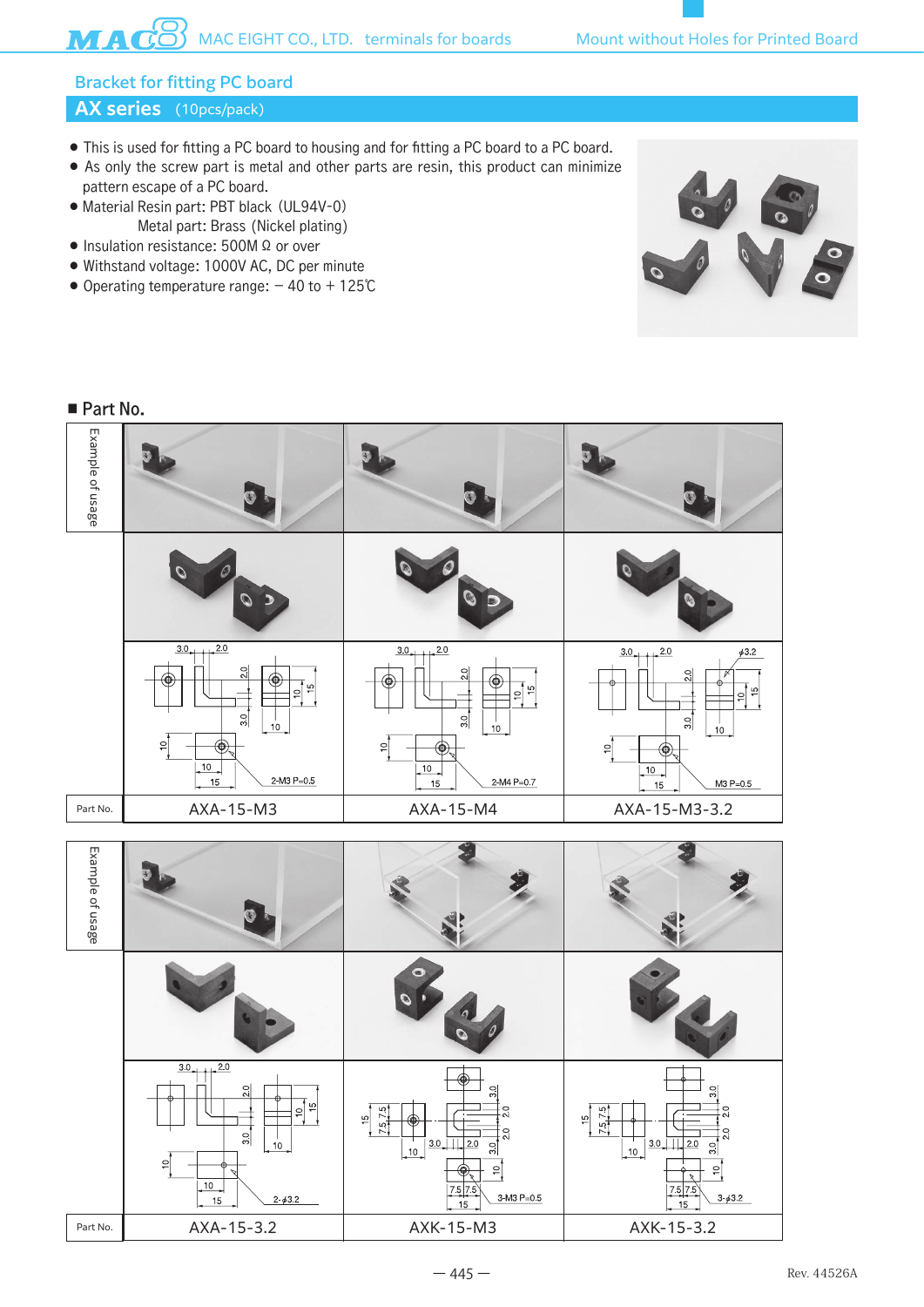# Bracket for fitting PC board

## **AX series** (10pcs/pack)

- This is used for fitting a PC board to housing and for fitting a PC board to a PC board.
- As only the screw part is metal and other parts are resin, this product can minimize pattern escape of a PC board.
- Material Resin part: PBT black (UL94V-0) Metal part: Brass (Nickel plating)
- Insulation resistance: 500M Ω or over
- Withstand voltage: 1000V AC, DC per minute
- Operating temperature range: − 40 to + 125℃



#### ■ Part No.